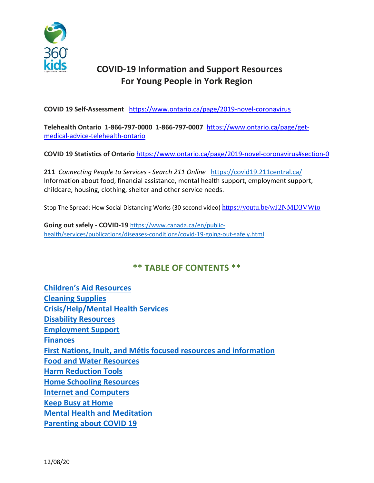

# **COVID-19 Information and Support Resources For Young People in York Region**

**COVID 19 Self-Assessment** <https://www.ontario.ca/page/2019-novel-coronavirus>

**Telehealth Ontario 1-866-797-0000 1-866-797-0007** [https://www.ontario.ca/page/get](https://www.ontario.ca/page/get-medical-advice-telehealth-ontario)[medical-advice-telehealth-ontario](https://www.ontario.ca/page/get-medical-advice-telehealth-ontario)

**COVID 19 Statistics of Ontario** <https://www.ontario.ca/page/2019-novel-coronavirus#section-0>

**211** *Connecting People to Services - Search 211 Online* <https://covid19.211central.ca/> Information about food, financial assistance, mental health support, employment support, childcare, housing, clothing, shelter and other service needs.

Stop The Spread: How Social Distancing Works (30 second video) <https://youtu.be/wJ2NMD3VWio>

**Going out safely - COVID-19** [https://www.canada.ca/en/public](https://www.canada.ca/en/public-health/services/publications/diseases-conditions/covid-19-going-out-safely.html)[health/services/publications/diseases-conditions/covid-19-going-out-safely.html](https://www.canada.ca/en/public-health/services/publications/diseases-conditions/covid-19-going-out-safely.html)

## **\*\* TABLE OF CONTENTS \*\***

| <b>Children's Aid Resources</b>                                          |
|--------------------------------------------------------------------------|
| <b>Cleaning Supplies</b>                                                 |
| <b>Crisis/Help/Mental Health Services</b>                                |
| <b>Disability Resources</b>                                              |
| <b>Employment Support</b>                                                |
| <b>Finances</b>                                                          |
| <b>First Nations, Inuit, and Métis focused resources and information</b> |
| <b>Food and Water Resources</b>                                          |
| <b>Harm Reduction Tools</b>                                              |
| <b>Home Schooling Resources</b>                                          |
| <b>Internet and Computers</b>                                            |
| <b>Keep Busy at Home</b>                                                 |
| <b>Mental Health and Meditation</b>                                      |
| <b>Parenting about COVID 19</b>                                          |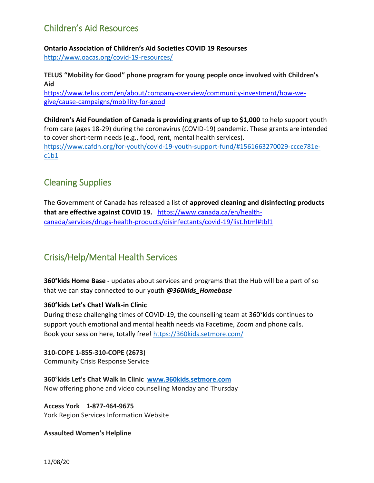# <span id="page-1-0"></span>Children's Aid Resources

**Ontario Association of Children's Aid Societies COVID 19 Resourses** <http://www.oacas.org/covid-19-resources/>

**TELUS "Mobility for Good" phone program for young people once involved with Children's Aid**

[https://www.telus.com/en/about/company-overview/community-investment/how-we](https://www.telus.com/en/about/company-overview/community-investment/how-we-give/cause-campaigns/mobility-for-good)[give/cause-campaigns/mobility-for-good](https://www.telus.com/en/about/company-overview/community-investment/how-we-give/cause-campaigns/mobility-for-good)

**Children's Aid Foundation of Canada is providing grants of up to \$1,000** to help support youth from care (ages 18-29) during the coronavirus (COVID-19) pandemic. These grants are intended to cover short-term needs (e.g., food, rent, mental health services). [https://www.cafdn.org/for-youth/covid-19-youth-support-fund/#1561663270029-ccce781e](https://www.cafdn.org/for-youth/covid-19-youth-support-fund/#1561663270029-ccce781e-c1b1)[c1b1](https://www.cafdn.org/for-youth/covid-19-youth-support-fund/#1561663270029-ccce781e-c1b1)

# <span id="page-1-1"></span>Cleaning Supplies

The Government of Canada has released a list of **approved cleaning and disinfecting products that are effective against COVID 19.** [https://www.canada.ca/en/health](https://www.canada.ca/en/health-canada/services/drugs-health-products/disinfectants/covid-19/list.html#tbl1)[canada/services/drugs-health-products/disinfectants/covid-19/list.html#tbl1](https://www.canada.ca/en/health-canada/services/drugs-health-products/disinfectants/covid-19/list.html#tbl1)

# <span id="page-1-2"></span>Crisis/Help/Mental Health Services

**360°kids Home Base -** updates about services and programs that the Hub will be a part of so that we can stay connected to our youth *@360kids\_Homebase*

## **360°kids Let's Chat! Walk-in Clinic**

During these challenging times of COVID-19, the counselling team at 360°kids continues to support youth emotional and mental health needs via Facetime, Zoom and phone calls. Book your session here, totally free!<https://360kids.setmore.com/>

**310-COPE 1-855-310-COPE (2673)**  Community Crisis Response Service

**360°kids Let's Chat Walk In Clinic [www.360kids.setmore.com](http://www.360kids.setmore.com/)** Now offering phone and video counselling Monday and Thursday

**Access York 1-877-464-9675** York Region Services Information Website

**Assaulted Women's Helpline**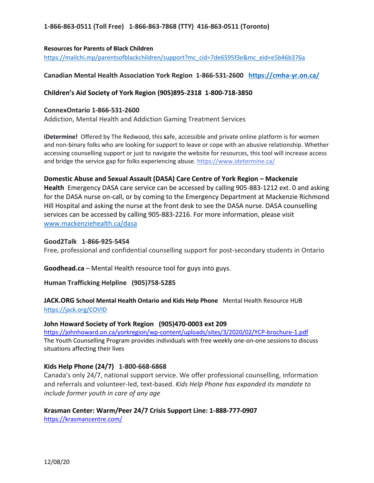### **1-866-863-0511 (Toll Free) 1-866-863-7868 (TTY) 416-863-0511 (Toronto)**

#### **Resources for Parents of Black Children**

[https://mailchi.mp/parentsofblackchildren/support?mc\\_cid=7de6595f3e&mc\\_eid=e5b46b376a](https://mailchi.mp/parentsofblackchildren/support?mc_cid=7de6595f3e&mc_eid=e5b46b376a)

#### **Canadian Mental Health Association York Region 1-866-531-2600 <https://cmha-yr.on.ca/>**

#### **Children's Aid Society of York Region (905)895-2318 1-800-718-3850**

#### **ConnexOntario 1-866-531-2600**

Addiction, Mental Health and Addiction Gaming Treatment Services

**iDetermine!** Offered by The Redwood, this **s**afe, accessible and private online platform is for women and non-binary folks who are looking for support to leave or cope with an abusive relationship. Whether accessing counselling support or just to navigate the website for resources, this tool will increase access and bridge the service gap for folks experiencing abuse. [https://www.idetermine.ca/](https://can01.safelinks.protection.outlook.com/?url=https%3A%2F%2Fwww.idetermine.ca%2F&data=02%7C01%7Caibrahim%40theredwood.com%7C623db2a6841b45aa54cc08d7f855927d%7Cb92363dd43f14b6aa18d83906cbdf54c%7C0%7C0%7C637250918722323355&sdata=wEd83aKiByolpZXamKIyuH6zodGO%2FO7NME5aa8%2BLaAE%3D&reserved=0)

#### **Domestic Abuse and Sexual Assault (DASA) Care Centre of York Region – Mackenzie**

**Health** Emergency DASA care service can be accessed by calling 905-883-1212 ext. 0 and asking for the DASA nurse on-call, or by coming to the Emergency Department at Mackenzie Richmond Hill Hospital and asking the nurse at the front desk to see the DASA nurse. DASA counselling services can be accessed by calling 905-883-2216. For more information, please visit [www.mackenziehealth.ca/dasa](http://www.mackenziehealth.ca/dasa)

#### **Good2Talk 1-866-925-5454**

Free, professional and confidential counselling support for post-secondary students in Ontario

**Goodhead.ca** – Mental Health resource tool for guys into guys.

### **Human Trafficking Helpline (905)758-5285**

### **JACK.ORG School Mental Health Ontario and Kids Help Phone** Mental Health Resource HUB <https://jack.org/COVID>

#### **John Howard Society of York Region (905)470-0003 ext 209**

<https://johnhoward.on.ca/yorkregion/wp-content/uploads/sites/3/2020/02/YCP-brochure-1.pdf> The Youth Counselling Program provides individuals with free weekly one-on-one sessions to discuss situations affecting their lives

#### **Kids Help Phone (24/7) 1-800-668-6868**

Canada's only 24/7, national support service. We offer professional counselling, information and referrals and volunteer-led, text-based. *Kids Help Phone has expanded its mandate to include former youth in care of any age*

**Krasman Center: Warm/Peer 24/7 Crisis Support Line: 1-888-777-0907** 

<https://krasmancentre.com/>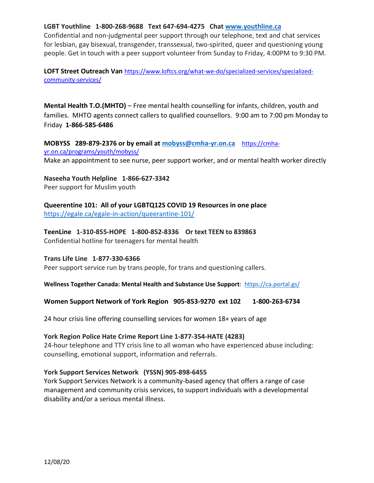### **LGBT Youthline 1-800-268-9688 Text 647-694-4275 Chat [www.youthline.ca](http://www.youthline.ca/)**

Confidential and non-judgmental peer support through our telephone, text and chat services for lesbian, gay bisexual, transgender, transsexual, two-spirited, queer and questioning young people. Get in touch with a peer support volunteer from Sunday to Friday, 4:00PM to 9:30 PM.

**LOFT Street Outreach Van** [https://www.loftcs.org/what-we-do/specialized-services/specialized](https://www.loftcs.org/what-we-do/specialized-services/specialized-community-services/)[community-services/](https://www.loftcs.org/what-we-do/specialized-services/specialized-community-services/)

**Mental Health T.O.(MHTO)** – Free mental health counselling for infants, children, youth and families. MHTO agents connect callers to qualified counsellors. 9:00 am to 7:00 pm Monday to Friday **1-866-585-6486**

**MOBYSS 289-879-2376 or by email at [mobyss@cmha-yr.on.ca](mailto:mobyss@cmha-yr.on.ca)** [https://cmha](https://cmha-yr.on.ca/programs/youth/mobyss/)[yr.on.ca/programs/youth/mobyss/](https://cmha-yr.on.ca/programs/youth/mobyss/)

Make an appointment to see nurse, peer support worker, and or mental health worker directly

**Naseeha Youth Helpline 1-866-627-3342** Peer support for Muslim youth

**Queerentine 101: All of your LGBTQ12S COVID 19 Resources in one place**  <https://egale.ca/egale-in-action/queerantine-101/>

**TeenLine 1-310-855-HOPE 1-800-852-8336 Or text TEEN to 839863** Confidential hotline for teenagers for mental health

**Trans Life Line 1-877-330-6366**

Peer support service run by trans people, for trans and questioning callers.

**Wellness Together Canada: Mental Health and Substance Use Support**: <https://ca.portal.gs/>

### **Women Support Network of York Region 905-853-9270 ext 102 1-800-263-6734**

24 hour crisis line offering counselling services for women 18+ years of age

#### **York Region Police Hate Crime Report Line 1-877-354-HATE (4283)**

24-hour telephone and TTY crisis line to all woman who have experienced abuse including: counselling, emotional support, information and referrals.

#### **York Support Services Network (YSSN) 905-898-6455**

York Support Services Network is a community-based agency that offers a range of case management and community crisis services, to support individuals with a developmental disability and/or a serious mental illness.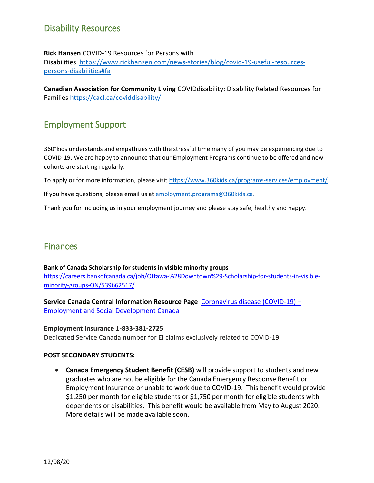# <span id="page-4-0"></span>Disability Resources

### **Rick Hansen** COVID-19 Resources for Persons with

Disabilities [https://www.rickhansen.com/news-stories/blog/covid-19-useful-resources](https://www.rickhansen.com/news-stories/blog/covid-19-useful-resources-persons-disabilities#fa)[persons-disabilities#fa](https://www.rickhansen.com/news-stories/blog/covid-19-useful-resources-persons-disabilities#fa)

**Canadian Association for Community Living** COVIDdisability: Disability Related Resources for Families<https://cacl.ca/coviddisability/>

## <span id="page-4-1"></span>Employment Support

360°kids understands and empathizes with the stressful time many of you may be experiencing due to COVID-19. We are happy to announce that our Employment Programs continue to be offered and new cohorts are starting regularly.

To apply or for more information, please visi[t https://www.360kids.ca/programs-services/employment/](https://www.360kids.ca/programs-services/employment/)

If you have questions, please email us a[t employment.programs@360kids.ca.](mailto:employment.programs@360kids.ca)

<span id="page-4-2"></span>Thank you for including us in your employment journey and please stay safe, healthy and happy.

# **Finances**

### **Bank of Canada Scholarship for students in visible minority groups** [https://careers.bankofcanada.ca/job/Ottawa-%28Downtown%29-Scholarship-for-students-in-visible](https://careers.bankofcanada.ca/job/Ottawa-%28Downtown%29-Scholarship-for-students-in-visible-minority-groups-ON/539662517/)[minority-groups-ON/539662517/](https://careers.bankofcanada.ca/job/Ottawa-%28Downtown%29-Scholarship-for-students-in-visible-minority-groups-ON/539662517/)

**Service Canada Central Information Resource Page** [Coronavirus](https://www.canada.ca/en/employment-social-development/corporate/notices/coronavirus.html?fbclid=IwAR3292qjXg-1uzySOEIg9mwc_l3tTfyY9oyDIh7-nx9v2uCIKOyAHYnB_Vk) disease (COVID-19) – Employment and Social [Development](https://www.canada.ca/en/employment-social-development/corporate/notices/coronavirus.html?fbclid=IwAR3292qjXg-1uzySOEIg9mwc_l3tTfyY9oyDIh7-nx9v2uCIKOyAHYnB_Vk) Canada

### **Employment Insurance 1-833-381-2725**

Dedicated Service Canada number for EI claims exclusively related to COVID-19

### **POST SECONDARY STUDENTS:**

 **Canada Emergency Student Benefit (CESB)** will provide support to students and new graduates who are not be eligible for the Canada Emergency Response Benefit or Employment Insurance or unable to work due to COVID-19. This benefit would provide \$1,250 per month for eligible students or \$1,750 per month for eligible students with dependents or disabilities. This benefit would be available from May to August 2020. More details will be made available soon.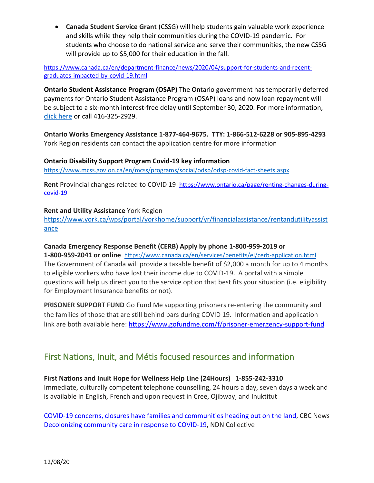**Canada Student Service Grant** (CSSG) will help students gain valuable work experience and skills while they help their communities during the COVID-19 pandemic. For students who choose to do national service and serve their communities, the new CSSG will provide up to \$5,000 for their education in the fall.

[https://www.canada.ca/en/department-finance/news/2020/04/support-for-students-and-recent](https://www.canada.ca/en/department-finance/news/2020/04/support-for-students-and-recent-graduates-impacted-by-covid-19.html)[graduates-impacted-by-covid-19.html](https://www.canada.ca/en/department-finance/news/2020/04/support-for-students-and-recent-graduates-impacted-by-covid-19.html)

**Ontario Student Assistance Program (OSAP)** The Ontario government has temporarily deferred payments for Ontario Student Assistance Program (OSAP) loans and now loan repayment will be subject to a six-month interest-free delay until September 30, 2020. For more information, [click here](https://news.ontario.ca/maesd/en/2020/03/province-supports-postsecondary-students-during-covid-19.html) or call 416-325-2929.

**Ontario Works Emergency Assistance 1-877-464-9675. TTY: 1-866-512-6228 or 905-895-4293** York Region residents can contact the application centre for more information

### **Ontario Disability Support Program Covid-19 key information**

<https://www.mcss.gov.on.ca/en/mcss/programs/social/odsp/odsp-covid-fact-sheets.aspx>

**Rent** Provincial changes related to COVID 19 [https://www.ontario.ca/page/renting-changes-during](https://www.ontario.ca/page/renting-changes-during-covid-19)[covid-19](https://www.ontario.ca/page/renting-changes-during-covid-19)

### **Rent and Utility Assistance** York Region

[https://www.york.ca/wps/portal/yorkhome/support/yr/financialassistance/rentandutilityassist](https://www.york.ca/wps/portal/yorkhome/support/yr/financialassistance/rentandutilityassistance) [ance](https://www.york.ca/wps/portal/yorkhome/support/yr/financialassistance/rentandutilityassistance)

### **Canada Emergency Response Benefit (CERB) Apply by phone 1**‑**800**‑**959**‑**2019 or**

**1**‑**800**‑**959**‑**2041 or online** <https://www.canada.ca/en/services/benefits/ei/cerb-application.html> The Government of Canada will provide a taxable benefit of \$2,000 a month for up to 4 months to eligible workers who have lost their income due to COVID-19. A portal with a simple questions will help us direct you to the service option that best fits your situation (i.e. eligibility for Employment Insurance benefits or not).

**PRISONER SUPPORT FUND** Go Fund Me supporting prisoners re-entering the community and the families of those that are still behind bars during COVID 19. Information and application link are both available here: <https://www.gofundme.com/f/prisoner-emergency-support-fund>

## <span id="page-5-0"></span>First Nations, Inuit, and Métis focused resources and information

## **First Nations and Inuit Hope for Wellness Help Line (24Hours) 1-855-242-3310**

Immediate, culturally competent telephone counselling, 24 hours a day, seven days a week and is available in English, French and upon request in Cree, Ojibway, and Inuktitut

COVID-19 concerns, closures have families and [communities](https://www.cbc.ca/news/indigenous/covid-19-tradition-land-medicine-1.5500973?__vfz=medium%3Dsharebar) heading out on the land, CBC News [Decolonizing](https://ndncollective.org/indigenizing-and-decolonizing-community-care-in-response-to-covid-19/) community care in response to COVID-19, NDN Collective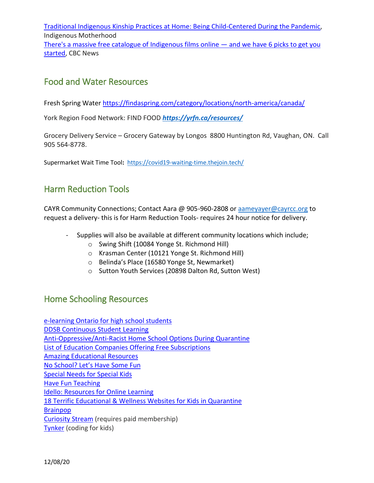Traditional Indigenous Kinship Practices at Home: Being [Child-Centered](https://indigenousmotherhood.wordpress.com/2020/03/16/traditional-indigenous-kinship-practices-at-home-being-child-centered-during-the-pandemic/?fbclid=IwAR1ZqZjcu3jgQMx_xwFwU6gWrui7g31zdmT1shwUgq-mLhzPhbyntt1jUh0) During the Pandemic, Indigenous Motherhood There's a massive free catalogue of [Indigenous](https://www.cbc.ca/arts/there-s-a-massive-free-catalogue-of-indigenous-films-online-and-we-have-6-picks-to-get-you-started-1.4623884) films online — and we have 6 picks to get you [started,](https://www.cbc.ca/arts/there-s-a-massive-free-catalogue-of-indigenous-films-online-and-we-have-6-picks-to-get-you-started-1.4623884) CBC News

## <span id="page-6-0"></span>Food and Water Resources

Fresh Spring Water<https://findaspring.com/category/locations/north-america/canada/>

York Region Food Network: FIND FOOD *<https://yrfn.ca/resources/>*

Grocery Delivery Service – Grocery Gateway by Longos 8800 Huntington Rd, Vaughan, ON. Call 905 564-8778.

Supermarket Wait Time Tool**:** <https://covid19-waiting-time.thejoin.tech/>

# <span id="page-6-1"></span>Harm Reduction Tools

CAYR Community Connections; Contact Aara @ 905-960-2808 o[r aameyayer@cayrcc.org](mailto:aameyayer@cayrcc.org) to request a delivery- this is for Harm Reduction Tools- requires 24 hour notice for delivery.

- Supplies will also be available at different community locations which include;
	- o Swing Shift (10084 Yonge St. Richmond Hill)
	- o Krasman Center (10121 Yonge St. Richmond Hill)
	- o Belinda's Place (16580 Yonge St, Newmarket)
	- o Sutton Youth Services (20898 Dalton Rd, Sutton West)

## <span id="page-6-2"></span>Home Schooling Resources

[e-learning](https://lah.elearningontario.ca/) Ontario for high school students DDSB [Continuous](https://www.ddsb.ca/en/programs-and-learning/optional-continuous-student-learning-at-home.aspx?fbclid=IwAR0z37MSw6kRtq59y0FulrQbayeG_RvTT4xRr9eDIc2gxxKBczaoQWAgKvk) Student Learning [Anti-Oppressive/Anti-Racist](https://docs.google.com/document/d/1rBqt7UJ7U_8Nz0mnLgbRd3TsSgzoJ1gawefZPCNNmAY/mobilebasic) Home School Options During Quarantine List of Education Companies Offering Free [Subscriptions](https://kidsactivitiesblog.com/135609/list-of-education-companies-offering-free-subscriptions/) Amazing [Educational](http://www.amazingeducationalresources.com/) Resources No [School?](https://docs.google.com/document/d/19o_X9jxQtOJHy86nXVT2dfhBZl-FK7kuMzGL1svq024/mobilebasic) Let's Have Some Fun [Special](https://www.specialneedsforspecialkids.net/) Needs for Special Kids Have Fun [Teaching](https://www.havefunteaching.com/resources/relief-packs/) Idello: [Resources](https://www.idello.org/en) for Online Learning 18 Terrific [Educational](https://www.shedoesthecity.com/18-terrific-educational-wellness-websites-for-kids-in-quarantine) & Wellness Websites for Kids in Quarantine [Brainpop](https://www.brainpop.com/) [Curiosity](https://curiositystream.com/search/Canada) Stream (requires paid membership) [Tynker](https://www.tynker.com/) (coding for kids)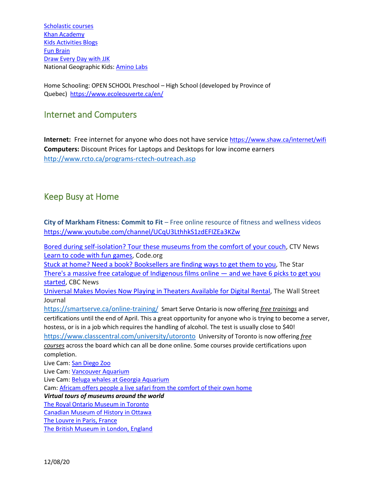[Scholastic courses](https://classroommagazines.scholastic.com/support/learnathome.html?fbclid=IwAR2E_WeMQqfD4Lp9ZMP9j-fsifTvEtk999_cjhsbSmS-G-SDnh8Lo0u_HME) [Khan Academy](https://www.khanacademy.org/) [Kids Activities Blogs](https://kidsactivitiesblog.com/) [Fun Brain](https://www.coolmath4kids.com/) [Draw Every Day with JJK](https://www.kennedy-center.org/education/mo-willems/) National Geographic Kids: [Amino Labs](https://kids.nationalgeographic.com/)

Home Schooling: OPEN SCHOOL Preschool – High School (developed by Province of Quebec) <https://www.ecoleouverte.ca/en/>

## <span id="page-7-0"></span>Internet and Computers

**Internet:** Free internet for anyone who does not have service <https://www.shaw.ca/internet/wifi> **Computers:** Discount Prices for Laptops and Desktops for low income earners <http://www.rcto.ca/programs-rctech-outreach.asp>

## <span id="page-7-1"></span>Keep Busy at Home

**City of Markham Fitness: Commit to Fit** – Free online resource of fitness and wellness videos <https://www.youtube.com/channel/UCqU3LthhkS1zdEFIZEa3KZw>

Bored during [self-isolation?](https://www.ctvnews.ca/health/coronavirus/bored-during-self-isolation-tour-these-museums-from-the-comfort-of-your-couch-1.4852971#_gus&_gucid=&_gup=twitter&_gsc=0mAZ9Lc) Tour these museums from the comfort of your couch, CTV News Learn to code with fun [games,](https://code.org/learn) Code.org

Stuck at home? Need a book? [Booksellers](https://www.thestar.com/entertainment/books/2020/03/18/stuck-at-home-need-a-book-booksellers-are-finding-ways-to-get-them-to-you.html) are finding ways to get them to you, The Star There's a massive free catalogue of [Indigenous](https://www.cbc.ca/arts/there-s-a-massive-free-catalogue-of-indigenous-films-online-and-we-have-6-picks-to-get-you-started-1.4623884) films online — and we have 6 picks to get you [started,](https://www.cbc.ca/arts/there-s-a-massive-free-catalogue-of-indigenous-films-online-and-we-have-6-picks-to-get-you-started-1.4623884) CBC News

[Universal](https://www.wsj.com/articles/universal-makes-movies-now-playing-in-theaters-available-online-11584383814) Makes Movies Now Playing in Theaters Available for Digital Rental, The Wall Street Journal

<https://smartserve.ca/online-training/> Smart Serve Ontario is now offering *free trainings* and certifications until the end of April. This a great opportunity for anyone who is trying to become a server, hostess, or is in a job which requires the handling of alcohol. The test is usually close to \$40! <https://www.classcentral.com/university/utoronto> University of Toronto is now offering *free courses* across the board which can all be done online. Some courses provide certifications upon completion.

Live Cam[: San Diego Zoo](https://zoo.sandiegozoo.org/live-cams) Live Cam[: Vancouver Aquarium](https://www.vanaqua.org/live-cams) Live Cam[: Beluga whales at Georgia Aquarium](https://www.georgiaaquarium.org/webcam/beluga-whale-webcam/) Cam[: Africam offers people a live safari from the comfort of their own home](https://www.africam.com/wildlife/) *Virtual tours of museums around the world*  [The Royal Ontario Museum in Toronto](https://artsandculture.google.com/streetview/royal-ontario-museum/QQEzrRxuTdjUcA?sv_lng=-79.39438554759032&sv_lat=43.66788043801905&sv_h=340&sv_p=0&sv_pid=o8xdoRc8lbmy5juTKyMwPA&sv_z=1.0000000000000002) [Canadian Museum of History in Ottawa](https://www.historymuseum.ca/exhibitions/online-exhibitions/) [The Louvre in Paris, France](https://www.louvre.fr/en/visites-en-ligne) [The British Museum in London, England](https://britishmuseum.withgoogle.com/)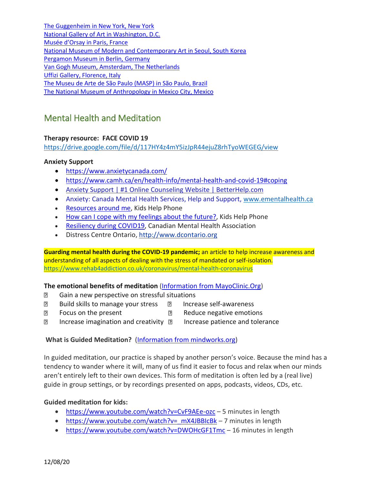[The Guggenheim in New York, New York](https://artsandculture.google.com/streetview/solomon-r-guggenheim-museum-interior-streetview/jAHfbv3JGM2KaQ?hl=en&sv_lng=-73.95902634325634&sv_lat=40.78285751667664&sv_h=302.3936462402344&sv_p=-0.9779434204101562&sv_pid=MfnUmHRyOSzMtY3vtYU05g&sv_z=0.9645743015259163) [National Gallery of Art in Washington, D.C.](https://artsandculture.google.com/partner/national-gallery-of-art-washington-dc?hl=en) [Musée d'Orsay in Paris, France](https://artsandculture.google.com/partner/musee-dorsay-paris?hl=en) [National Museum of Modern and Contemporary Art in Seoul, South Korea](https://artsandculture.google.com/partner/national-museum-of-modern-and-contemporary-art-korea?hl=en) [Pergamon Museum in Berlin, Germany](https://artsandculture.google.com/entity/pergamon/m05tcm?hl=en) [Van Gogh Museum, Amsterdam, The Netherlands](https://artsandculture.google.com/partner/van-gogh-museum?hl=en) [Uffizi Gallery, Florence, Italy](https://artsandculture.google.com/partner/uffizi-gallery?hl=en) [The Museu de Arte de São Paulo \(MASP\) in São Paulo, Brazil](https://artsandculture.google.com/partner/masp?hl=en) [The National Museum of Anthropology in Mexico City, Mexico](https://artsandculture.google.com/partner/masp?hl=en)

# <span id="page-8-0"></span>Mental Health and Meditation

## **Therapy resource: FACE COVID 19**

<https://drive.google.com/file/d/117HY4z4mY5izJpR44ejuZ8rhTyoWEGEG/view>

## **Anxiety Support**

- <https://www.anxietycanada.com/>
- <https://www.camh.ca/en/health-info/mental-health-and-covid-19#coping>
- [Anxiety Support | #1 Online Counseling Website | Better](https://www.betterhelp.com/go/)Help.com
- Anxiety: Canada Mental Health Services, Help and Support, [www.ementalhealth.ca](http://www.ementalhealth.ca/)
- [Resources](https://apps.kidshelpphone.ca/resourcesaroundme/welcome.html) around me, Kids Help Phone
- How can I cope with my feelings about the [future?,](https://kidshelpphone.ca/get-info/how-can-i-cope-with-my-feelings-about-the-future/) Kids Help Phone
- [Resiliency](http://cmhaww.ca/our-services/mental-health-promotion-and-education/resiliency-during-covid19/) during COVID19, Canadian Mental Health Association
- Distress Centre Ontario[, http://www.dcontario.org](http://www.dcontario.org/)

**Guarding mental health during the COVID-19 pandemic;** an article to help increase awareness and understanding of all aspects of dealing with the stress of mandated or self-isolation. <https://www.rehab4addiction.co.uk/coronavirus/mental-health-coronavirus>

## **The emotional benefits of meditation** (Information from [MayoClinic.Org\)](https://www.mayoclinic.org/tests-procedures/meditation/in-depth/meditation/art-20045858)

- **B** Gain a new perspective on stressful situations
- **Build skills to manage your stress D** Increase self-awareness
	-
- **If Example 2** Focus on the present **Reduce negative emotions** 
	-
- **Increase imagination and creativity Innerease patience and tolerance**
- 

## **What is Guided Meditation?** (Information from [mindworks.org\)](https://mindworks.org/blog/what-is-guided-meditation/)

In guided meditation, our practice is shaped by another person's voice. Because the mind has a tendency to wander where it will, many of us find it easier to focus and relax when our minds aren't entirely left to their own devices. This form of meditation is often led by a (real live) guide in group settings, or by recordings presented on apps, podcasts, videos, CDs, etc.

## **Guided meditation for kids:**

- <https://www.youtube.com/watch?v=CvF9AEe-ozc> 5 minutes in length
- https://www.youtube.com/watch?v= mX4JBBIcBk 7 minutes in length
- <https://www.youtube.com/watch?v=DWOHcGF1Tmc> 16 minutes in length